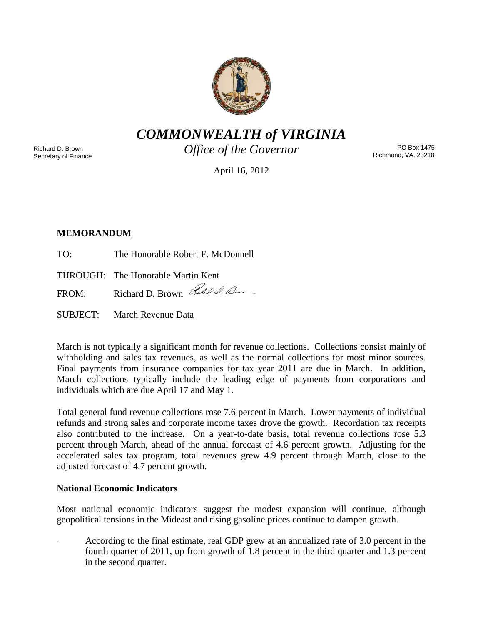

*COMMONWEALTH of VIRGINIA*

Richard D. Brown Secretary of Finance *Office of the Governor*

PO Box 1475 Richmond, VA. 23218

April 16, 2012

# **MEMORANDUM**

TO: The Honorable Robert F. McDonnell

THROUGH: The Honorable Martin Kent

FROM: Richard D. Brown Rubel Sum

SUBJECT: March Revenue Data

March is not typically a significant month for revenue collections. Collections consist mainly of withholding and sales tax revenues, as well as the normal collections for most minor sources. Final payments from insurance companies for tax year 2011 are due in March. In addition, March collections typically include the leading edge of payments from corporations and individuals which are due April 17 and May 1.

Total general fund revenue collections rose 7.6 percent in March. Lower payments of individual refunds and strong sales and corporate income taxes drove the growth. Recordation tax receipts also contributed to the increase. On a year-to-date basis, total revenue collections rose 5.3 percent through March, ahead of the annual forecast of 4.6 percent growth. Adjusting for the accelerated sales tax program, total revenues grew 4.9 percent through March, close to the adjusted forecast of 4.7 percent growth.

## **National Economic Indicators**

Most national economic indicators suggest the modest expansion will continue, although geopolitical tensions in the Mideast and rising gasoline prices continue to dampen growth.

- According to the final estimate, real GDP grew at an annualized rate of 3.0 percent in the fourth quarter of 2011, up from growth of 1.8 percent in the third quarter and 1.3 percent in the second quarter.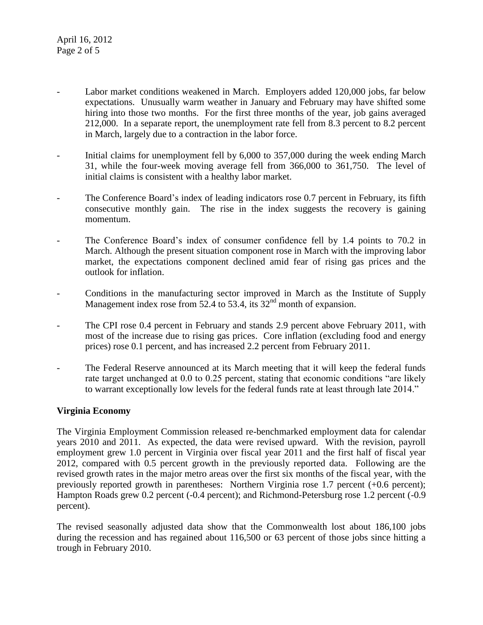- Labor market conditions weakened in March. Employers added 120,000 jobs, far below expectations. Unusually warm weather in January and February may have shifted some hiring into those two months. For the first three months of the year, job gains averaged 212,000. In a separate report, the unemployment rate fell from 8.3 percent to 8.2 percent in March, largely due to a contraction in the labor force.
- Initial claims for unemployment fell by 6,000 to 357,000 during the week ending March 31, while the four-week moving average fell from 366,000 to 361,750. The level of initial claims is consistent with a healthy labor market.
- The Conference Board's index of leading indicators rose 0.7 percent in February, its fifth consecutive monthly gain. The rise in the index suggests the recovery is gaining momentum.
- The Conference Board's index of consumer confidence fell by 1.4 points to 70.2 in March. Although the present situation component rose in March with the improving labor market, the expectations component declined amid fear of rising gas prices and the outlook for inflation.
- Conditions in the manufacturing sector improved in March as the Institute of Supply Management index rose from  $52.4$  to 53.4, its 32<sup>nd</sup> month of expansion.
- The CPI rose 0.4 percent in February and stands 2.9 percent above February 2011, with most of the increase due to rising gas prices. Core inflation (excluding food and energy prices) rose 0.1 percent, and has increased 2.2 percent from February 2011.
- The Federal Reserve announced at its March meeting that it will keep the federal funds rate target unchanged at 0.0 to 0.25 percent, stating that economic conditions "are likely to warrant exceptionally low levels for the federal funds rate at least through late 2014."

## **Virginia Economy**

The Virginia Employment Commission released re-benchmarked employment data for calendar years 2010 and 2011. As expected, the data were revised upward. With the revision, payroll employment grew 1.0 percent in Virginia over fiscal year 2011 and the first half of fiscal year 2012, compared with 0.5 percent growth in the previously reported data. Following are the revised growth rates in the major metro areas over the first six months of the fiscal year, with the previously reported growth in parentheses: Northern Virginia rose 1.7 percent (+0.6 percent); Hampton Roads grew 0.2 percent (-0.4 percent); and Richmond-Petersburg rose 1.2 percent (-0.9 percent).

The revised seasonally adjusted data show that the Commonwealth lost about 186,100 jobs during the recession and has regained about 116,500 or 63 percent of those jobs since hitting a trough in February 2010.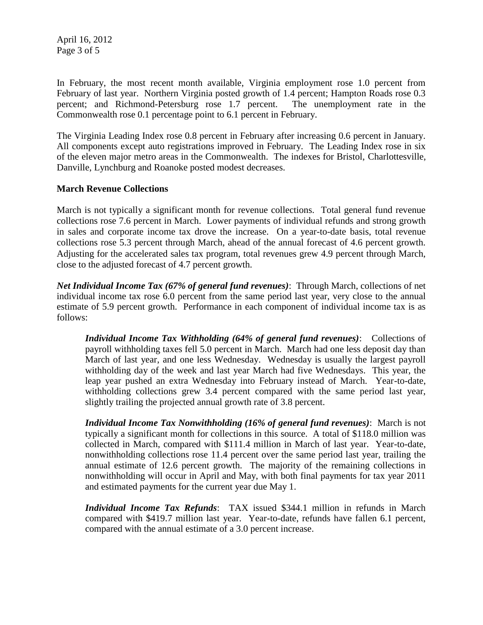April 16, 2012 Page 3 of 5

In February, the most recent month available, Virginia employment rose 1.0 percent from February of last year. Northern Virginia posted growth of 1.4 percent; Hampton Roads rose 0.3 percent; and Richmond-Petersburg rose 1.7 percent. The unemployment rate in the Commonwealth rose 0.1 percentage point to 6.1 percent in February.

The Virginia Leading Index rose 0.8 percent in February after increasing 0.6 percent in January. All components except auto registrations improved in February. The Leading Index rose in six of the eleven major metro areas in the Commonwealth. The indexes for Bristol, Charlottesville, Danville, Lynchburg and Roanoke posted modest decreases.

#### **March Revenue Collections**

March is not typically a significant month for revenue collections. Total general fund revenue collections rose 7.6 percent in March. Lower payments of individual refunds and strong growth in sales and corporate income tax drove the increase. On a year-to-date basis, total revenue collections rose 5.3 percent through March, ahead of the annual forecast of 4.6 percent growth. Adjusting for the accelerated sales tax program, total revenues grew 4.9 percent through March, close to the adjusted forecast of 4.7 percent growth.

*Net Individual Income Tax (67% of general fund revenues)*: Through March, collections of net individual income tax rose 6.0 percent from the same period last year, very close to the annual estimate of 5.9 percent growth. Performance in each component of individual income tax is as follows:

*Individual Income Tax Withholding (64% of general fund revenues)*: Collections of payroll withholding taxes fell 5.0 percent in March. March had one less deposit day than March of last year, and one less Wednesday. Wednesday is usually the largest payroll withholding day of the week and last year March had five Wednesdays. This year, the leap year pushed an extra Wednesday into February instead of March. Year-to-date, withholding collections grew 3.4 percent compared with the same period last year, slightly trailing the projected annual growth rate of 3.8 percent.

*Individual Income Tax Nonwithholding (16% of general fund revenues)*: March is not typically a significant month for collections in this source. A total of \$118.0 million was collected in March, compared with \$111.4 million in March of last year. Year-to-date, nonwithholding collections rose 11.4 percent over the same period last year, trailing the annual estimate of 12.6 percent growth. The majority of the remaining collections in nonwithholding will occur in April and May, with both final payments for tax year 2011 and estimated payments for the current year due May 1.

*Individual Income Tax Refunds*: TAX issued \$344.1 million in refunds in March compared with \$419.7 million last year. Year-to-date, refunds have fallen 6.1 percent, compared with the annual estimate of a 3.0 percent increase.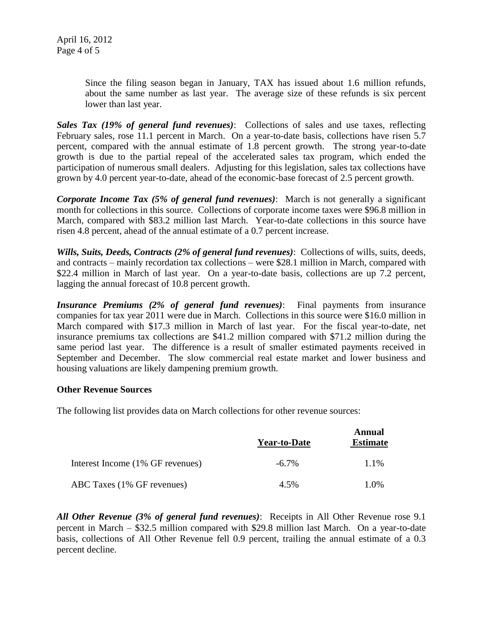Since the filing season began in January, TAX has issued about 1.6 million refunds, about the same number as last year. The average size of these refunds is six percent lower than last year.

*Sales Tax (19% of general fund revenues)*: Collections of sales and use taxes, reflecting February sales, rose 11.1 percent in March. On a year-to-date basis, collections have risen 5.7 percent, compared with the annual estimate of 1.8 percent growth. The strong year-to-date growth is due to the partial repeal of the accelerated sales tax program, which ended the participation of numerous small dealers. Adjusting for this legislation, sales tax collections have grown by 4.0 percent year-to-date, ahead of the economic-base forecast of 2.5 percent growth.

*Corporate Income Tax (5% of general fund revenues)*: March is not generally a significant month for collections in this source. Collections of corporate income taxes were \$96.8 million in March, compared with \$83.2 million last March. Year-to-date collections in this source have risen 4.8 percent, ahead of the annual estimate of a 0.7 percent increase.

*Wills, Suits, Deeds, Contracts (2% of general fund revenues)*: Collections of wills, suits, deeds, and contracts – mainly recordation tax collections – were \$28.1 million in March, compared with \$22.4 million in March of last year. On a year-to-date basis, collections are up 7.2 percent, lagging the annual forecast of 10.8 percent growth.

*Insurance Premiums (2% of general fund revenues)*: Final payments from insurance companies for tax year 2011 were due in March. Collections in this source were \$16.0 million in March compared with \$17.3 million in March of last year. For the fiscal year-to-date, net insurance premiums tax collections are \$41.2 million compared with \$71.2 million during the same period last year. The difference is a result of smaller estimated payments received in September and December. The slow commercial real estate market and lower business and housing valuations are likely dampening premium growth.

#### **Other Revenue Sources**

The following list provides data on March collections for other revenue sources:

|                                  | <b>Year-to-Date</b> | Annual<br><b>Estimate</b> |
|----------------------------------|---------------------|---------------------------|
| Interest Income (1% GF revenues) | $-6.7\%$            | 1.1%                      |
| ABC Taxes (1% GF revenues)       | 4.5%                | 1.0%                      |

*All Other Revenue (3% of general fund revenues)*: Receipts in All Other Revenue rose 9.1 percent in March – \$32.5 million compared with \$29.8 million last March. On a year-to-date basis, collections of All Other Revenue fell 0.9 percent, trailing the annual estimate of a 0.3 percent decline.